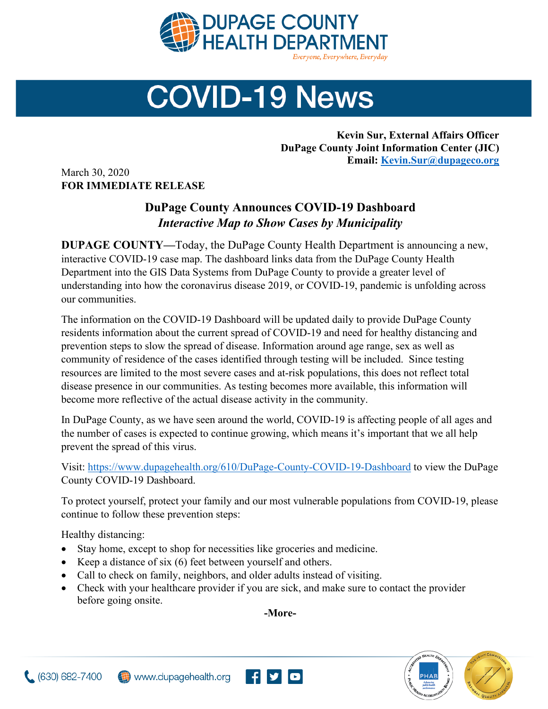

## **COVID-19 News**

**Kevin Sur, External Affairs Officer DuPage County Joint Information Center (JIC) Email: [Kevin.Sur@dupageco.org](mailto:Kevin.Sur@dupageco.org)**

March 30, 2020 **FOR IMMEDIATE RELEASE**

## **DuPage County Announces COVID-19 Dashboard** *Interactive Map to Show Cases by Municipality*

**DUPAGE COUNTY—**Today, the DuPage County Health Department is announcing a new, interactive COVID-19 case map. The dashboard links data from the DuPage County Health Department into the GIS Data Systems from DuPage County to provide a greater level of understanding into how the coronavirus disease 2019, or COVID-19, pandemic is unfolding across our communities.

The information on the COVID-19 Dashboard will be updated daily to provide DuPage County residents information about the current spread of COVID-19 and need for healthy distancing and prevention steps to slow the spread of disease. Information around age range, sex as well as community of residence of the cases identified through testing will be included. Since testing resources are limited to the most severe cases and at-risk populations, this does not reflect total disease presence in our communities. As testing becomes more available, this information will become more reflective of the actual disease activity in the community.

In DuPage County, as we have seen around the world, COVID-19 is affecting people of all ages and the number of cases is expected to continue growing, which means it's important that we all help prevent the spread of this virus.

Visit: <https://www.dupagehealth.org/610/DuPage-County-COVID-19-Dashboard> to view the DuPage County COVID-19 Dashboard.

To protect yourself, protect your family and our most vulnerable populations from COVID-19, please continue to follow these prevention steps:

Healthy distancing:

- Stay home, except to shop for necessities like groceries and medicine.
- Keep a distance of six (6) feet between yourself and others.
- Call to check on family, neighbors, and older adults instead of visiting.
- Check with your healthcare provider if you are sick, and make sure to contact the provider before going onsite.

**-More-**